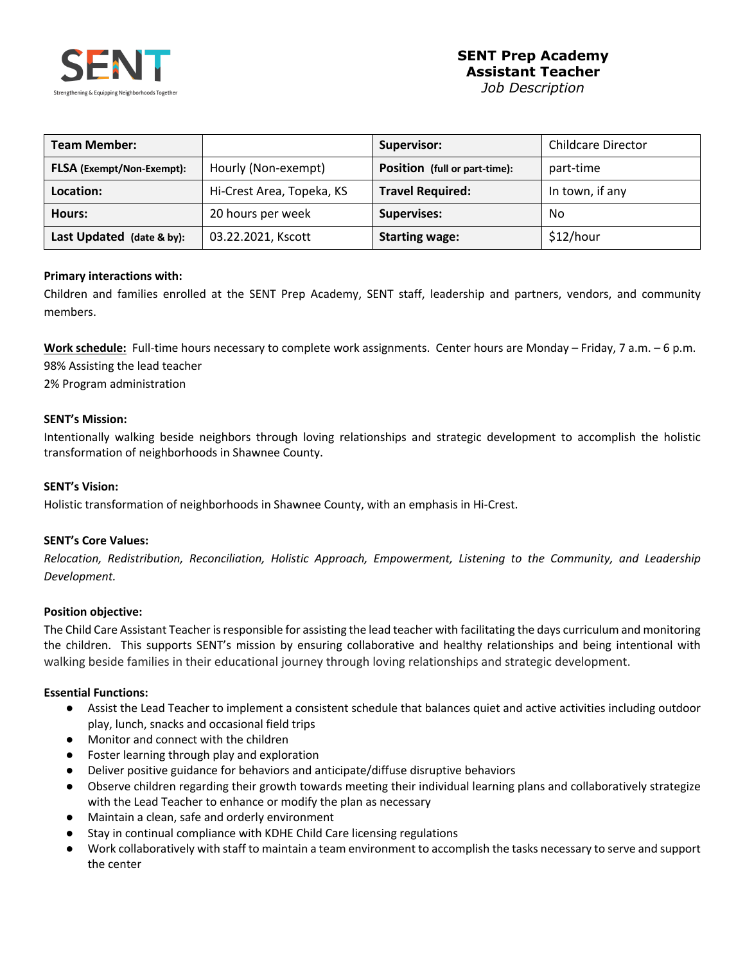

*Job Description*

| <b>Team Member:</b>              |                           | <b>Supervisor:</b>            | <b>Childcare Director</b> |
|----------------------------------|---------------------------|-------------------------------|---------------------------|
| <b>FLSA</b> (Exempt/Non-Exempt): | Hourly (Non-exempt)       | Position (full or part-time): | part-time                 |
| Location:                        | Hi-Crest Area, Topeka, KS | <b>Travel Required:</b>       | In town, if any           |
| Hours:                           | 20 hours per week         | <b>Supervises:</b>            | No                        |
| Last Updated (date & by):        | 03.22.2021, Kscott        | <b>Starting wage:</b>         | \$12/hour                 |

### **Primary interactions with:**

Children and families enrolled at the SENT Prep Academy, SENT staff, leadership and partners, vendors, and community members.

**Work schedule:** Full-time hours necessary to complete work assignments. Center hours are Monday – Friday, 7 a.m. – 6 p.m. 98% Assisting the lead teacher

2% Program administration

### **SENT's Mission:**

Intentionally walking beside neighbors through loving relationships and strategic development to accomplish the holistic transformation of neighborhoods in Shawnee County.

### **SENT's Vision:**

Holistic transformation of neighborhoods in Shawnee County, with an emphasis in Hi-Crest.

### **SENT's Core Values:**

*Relocation, Redistribution, Reconciliation, Holistic Approach, Empowerment, Listening to the Community, and Leadership Development.*

### **Position objective:**

The Child Care Assistant Teacher is responsible for assisting the lead teacher with facilitating the days curriculum and monitoring the children. This supports SENT's mission by ensuring collaborative and healthy relationships and being intentional with walking beside families in their educational journey through loving relationships and strategic development.

### **Essential Functions:**

- Assist the Lead Teacher to implement a consistent schedule that balances quiet and active activities including outdoor play, lunch, snacks and occasional field trips
- Monitor and connect with the children
- Foster learning through play and exploration
- Deliver positive guidance for behaviors and anticipate/diffuse disruptive behaviors
- Observe children regarding their growth towards meeting their individual learning plans and collaboratively strategize with the Lead Teacher to enhance or modify the plan as necessary
- Maintain a clean, safe and orderly environment
- Stay in continual compliance with KDHE Child Care licensing regulations
- Work collaboratively with staff to maintain a team environment to accomplish the tasks necessary to serve and support the center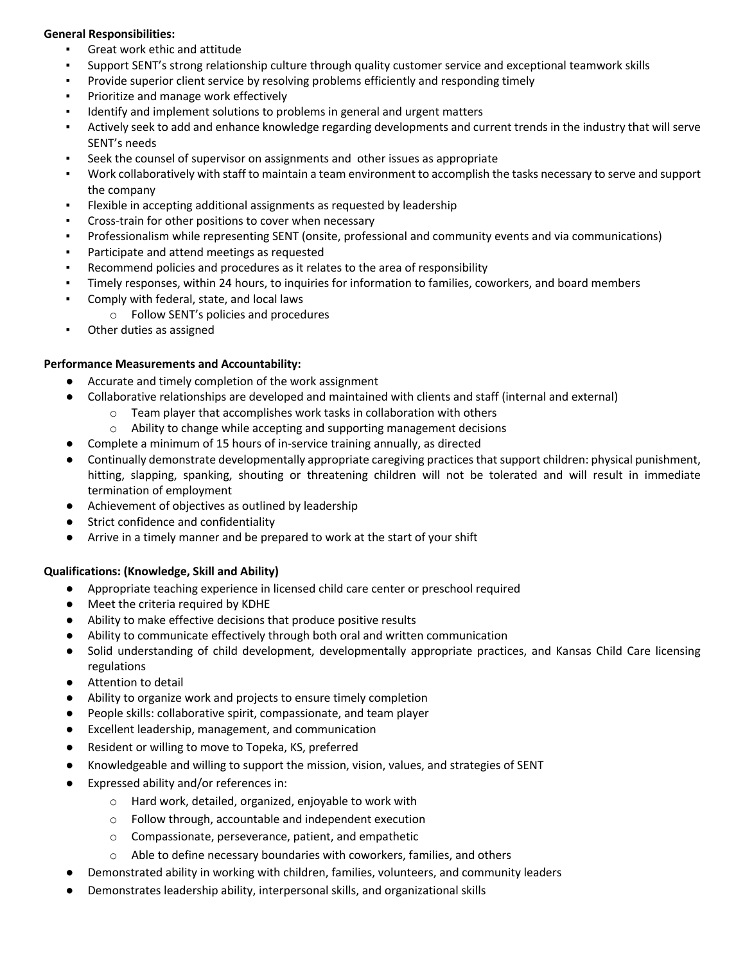### **General Responsibilities:**

- Great work ethic and attitude
- Support SENT's strong relationship culture through quality customer service and exceptional teamwork skills
- Provide superior client service by resolving problems efficiently and responding timely
- Prioritize and manage work effectively
- Identify and implement solutions to problems in general and urgent matters
- Actively seek to add and enhance knowledge regarding developments and current trends in the industry that will serve SENT's needs
- Seek the counsel of supervisor on assignments and other issues as appropriate
- Work collaboratively with staff to maintain a team environment to accomplish the tasks necessary to serve and support the company
- Flexible in accepting additional assignments as requested by leadership
- Cross-train for other positions to cover when necessary
- Professionalism while representing SENT (onsite, professional and community events and via communications)
- Participate and attend meetings as requested
- Recommend policies and procedures as it relates to the area of responsibility
- Timely responses, within 24 hours, to inquiries for information to families, coworkers, and board members
- Comply with federal, state, and local laws
	- o Follow SENT's policies and procedures
- Other duties as assigned

## **Performance Measurements and Accountability:**

- Accurate and timely completion of the work assignment
- Collaborative relationships are developed and maintained with clients and staff (internal and external)
	- o Team player that accomplishes work tasks in collaboration with others
	- o Ability to change while accepting and supporting management decisions
- Complete a minimum of 15 hours of in-service training annually, as directed
- Continually demonstrate developmentally appropriate caregiving practices that support children: physical punishment, hitting, slapping, spanking, shouting or threatening children will not be tolerated and will result in immediate termination of employment
- Achievement of objectives as outlined by leadership
- Strict confidence and confidentiality
- Arrive in a timely manner and be prepared to work at the start of your shift

## **Qualifications: (Knowledge, Skill and Ability)**

- Appropriate teaching experience in licensed child care center or preschool required
- Meet the criteria required by KDHE
- Ability to make effective decisions that produce positive results
- Ability to communicate effectively through both oral and written communication
- Solid understanding of child development, developmentally appropriate practices, and Kansas Child Care licensing regulations
- Attention to detail
- Ability to organize work and projects to ensure timely completion
- People skills: collaborative spirit, compassionate, and team player
- Excellent leadership, management, and communication
- Resident or willing to move to Topeka, KS, preferred
- Knowledgeable and willing to support the mission, vision, values, and strategies of SENT
- Expressed ability and/or references in:
	- o Hard work, detailed, organized, enjoyable to work with
	- o Follow through, accountable and independent execution
	- o Compassionate, perseverance, patient, and empathetic
	- o Able to define necessary boundaries with coworkers, families, and others
- **●** Demonstrated ability in working with children, families, volunteers, and community leaders
- **●** Demonstrates leadership ability, interpersonal skills, and organizational skills